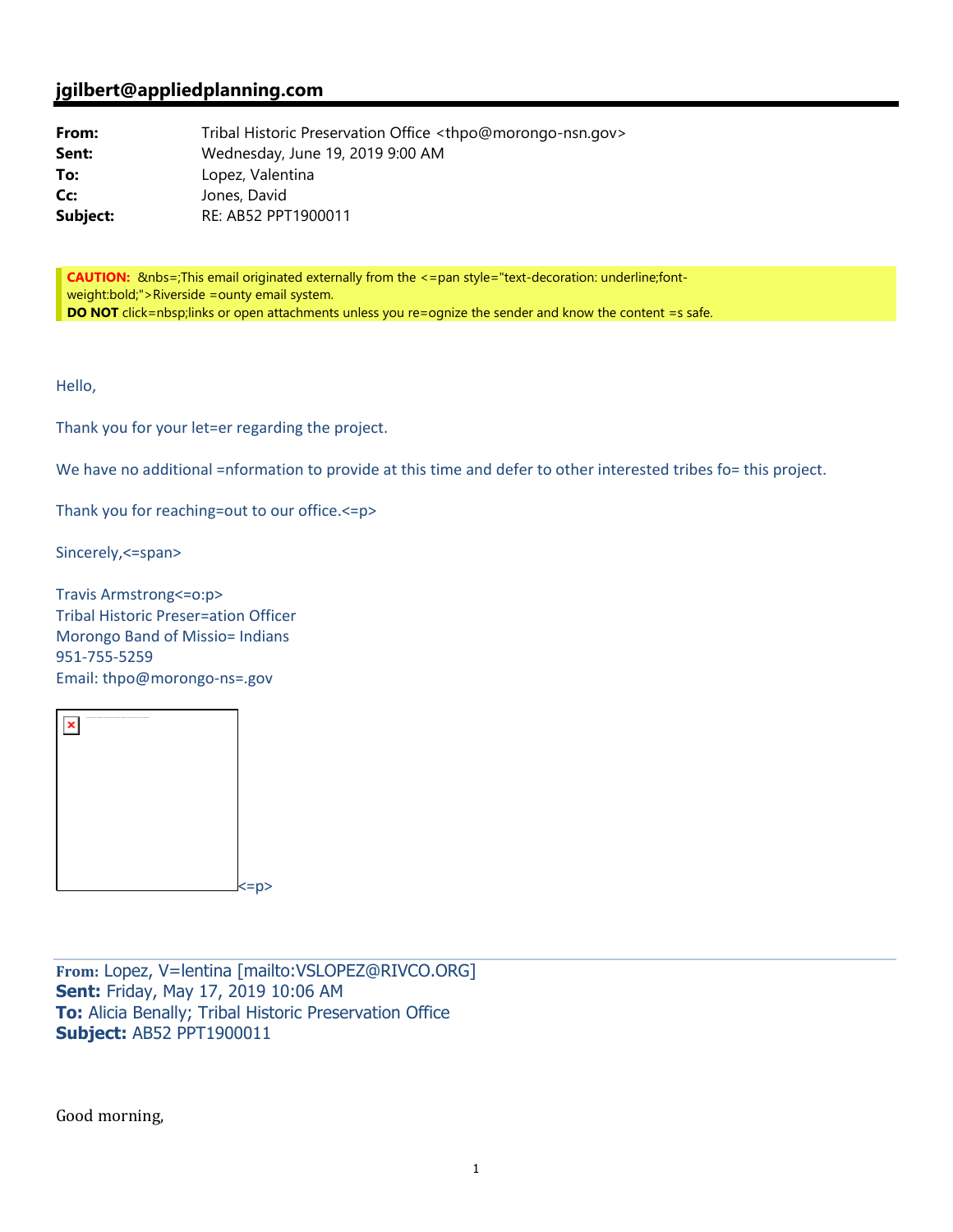## **jgilbert@appliedplanning.com**

| Tribal Historic Preservation Office <thpo@morongo-nsn.gov></thpo@morongo-nsn.gov> |
|-----------------------------------------------------------------------------------|
| Wednesday, June 19, 2019 9:00 AM                                                  |
| Lopez, Valentina                                                                  |
| Jones, David                                                                      |
| RE: AB52 PPT1900011                                                               |
|                                                                                   |

**CAUTION:** &nbs=;This email originated externally from the <=pan style="text-decoration: underline;fontweight:bold;">Riverside =ounty email system. **DO NOT** click=nbsp;links or open attachments unless you re=ognize the sender and know the content =s safe.

Hello,

Thank you for your let=er regarding the project.

We have no additional =nformation to provide at this time and defer to other interested tribes fo= this project.

Thank you for reaching=out to our office.<=p>

Sincerely,<=span>

Travis Armstrong<=o:p> Tribal Historic Preser=ation Officer Morongo Band of Missio= Indians 951‐755‐5259 Email: thpo@morongo‐ns=.gov



**From:** Lopez, V=lentina [mailto:VSLOPEZ@RIVCO.ORG] **Sent:** Friday, May 17, 2019 10:06 AM **To:** Alicia Benally; Tribal Historic Preservation Office **Subject:** AB52 PPT1900011

Good morning,